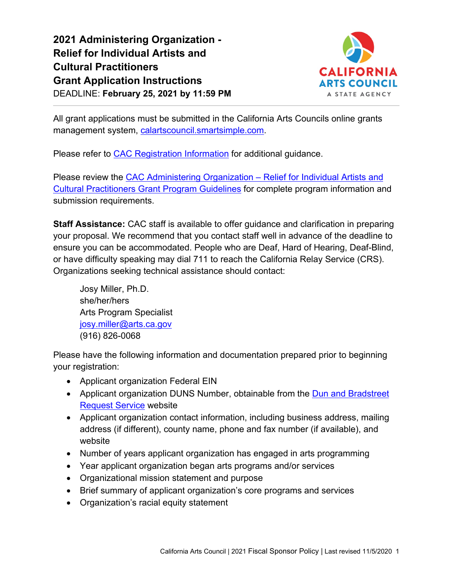**2021 Administering Organization - Relief for Individual Artists and Cultural Practitioners Grant Application Instructions** DEADLINE: **February 25, 2021 by 11:59 PM**



All grant applications must be submitted in the California Arts Councils online grants management system, [calartscouncil.smartsimple.com.](https://calartscouncil.smartsimple.com/)

Please refer to [CAC Registration Information](https://arts.ca.gov/cac_smartsimple-registration_informationfinal/) for additional guidance.

Please review the [CAC Administering Organization –](https://arts.ca.gov/wp-content/uploads/2020/12/INR_AO_2021_Guidelines_FINAL.pdf) Relief for Individual Artists and [Cultural Practitioners Grant Program Guidelines](https://arts.ca.gov/inr_ao_2021_guidelines_final-2/) for complete program information and submission requirements.

**Staff Assistance:** CAC staff is available to offer guidance and clarification in preparing your proposal. We recommend that you contact staff well in advance of the deadline to ensure you can be accommodated. People who are Deaf, Hard of Hearing, Deaf-Blind, or have difficulty speaking may dial 711 to reach the California Relay Service (CRS). Organizations seeking technical assistance should contact:

Josy Miller, Ph.D. she/her/hers Arts Program Specialist [josy.miller@arts.ca.gov](mailto:josy.miller@arts.ca.gov) (916) 826-0068

Please have the following information and documentation prepared prior to beginning your registration:

- Applicant organization Federal EIN
- Applicant organization DUNS Number, obtainable from the Dun and Bradstreet [Request Service](http://fedgov.dnb.com/webform) website
- Applicant organization contact information, including business address, mailing address (if different), county name, phone and fax number (if available), and website
- Number of years applicant organization has engaged in arts programming
- Year applicant organization began arts programs and/or services
- Organizational mission statement and purpose
- Brief summary of applicant organization's core programs and services
- Organization's racial equity statement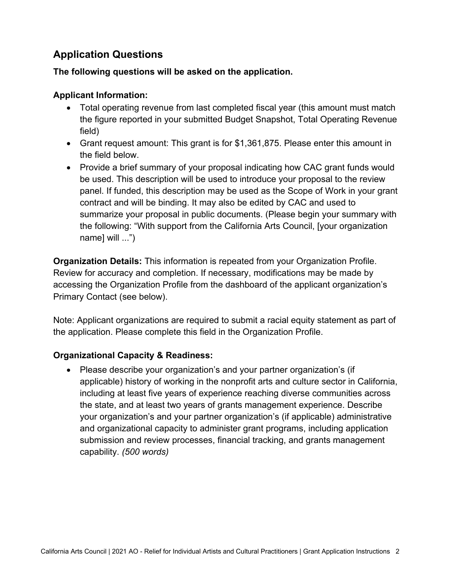# **Application Questions**

## **The following questions will be asked on the application.**

## **Applicant Information:**

- Total operating revenue from last completed fiscal year (this amount must match the figure reported in your submitted Budget Snapshot, Total Operating Revenue field)
- Grant request amount: This grant is for \$1,361,875. Please enter this amount in the field below.
- Provide a brief summary of your proposal indicating how CAC grant funds would be used. This description will be used to introduce your proposal to the review panel. If funded, this description may be used as the Scope of Work in your grant contract and will be binding. It may also be edited by CAC and used to summarize your proposal in public documents. (Please begin your summary with the following: "With support from the California Arts Council, [your organization name] will ...")

**Organization Details:** This information is repeated from your Organization Profile. Review for accuracy and completion. If necessary, modifications may be made by accessing the Organization Profile from the dashboard of the applicant organization's Primary Contact (see below).

Note: Applicant organizations are required to submit a racial equity statement as part of the application. Please complete this field in the Organization Profile.

## **Organizational Capacity & Readiness:**

• Please describe your organization's and your partner organization's (if applicable) history of working in the nonprofit arts and culture sector in California, including at least five years of experience reaching diverse communities across the state, and at least two years of grants management experience. Describe your organization's and your partner organization's (if applicable) administrative and organizational capacity to administer grant programs, including application submission and review processes, financial tracking, and grants management capability. *(500 words)*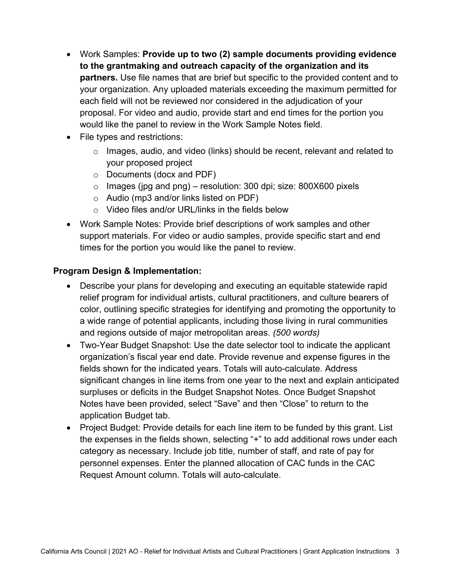- Work Samples: **Provide up to two (2) sample documents providing evidence to the grantmaking and outreach capacity of the organization and its partners.** Use file names that are brief but specific to the provided content and to your organization. Any uploaded materials exceeding the maximum permitted for each field will not be reviewed nor considered in the adjudication of your proposal. For video and audio, provide start and end times for the portion you would like the panel to review in the Work Sample Notes field.
- File types and restrictions:
	- $\circ$  Images, audio, and video (links) should be recent, relevant and related to your proposed project
	- o Documents (docx and PDF)
	- $\circ$  Images (jpg and png) resolution: 300 dpi; size: 800X600 pixels
	- o Audio (mp3 and/or links listed on PDF)
	- o Video files and/or URL/links in the fields below
- Work Sample Notes: Provide brief descriptions of work samples and other support materials. For video or audio samples, provide specific start and end times for the portion you would like the panel to review.

## **Program Design & Implementation:**

- Describe your plans for developing and executing an equitable statewide rapid relief program for individual artists, cultural practitioners, and culture bearers of color, outlining specific strategies for identifying and promoting the opportunity to a wide range of potential applicants, including those living in rural communities and regions outside of major metropolitan areas. *(500 words)*
- Two-Year Budget Snapshot: Use the date selector tool to indicate the applicant organization's fiscal year end date. Provide revenue and expense figures in the fields shown for the indicated years. Totals will auto-calculate. Address significant changes in line items from one year to the next and explain anticipated surpluses or deficits in the Budget Snapshot Notes. Once Budget Snapshot Notes have been provided, select "Save" and then "Close" to return to the application Budget tab.
- Project Budget: Provide details for each line item to be funded by this grant. List the expenses in the fields shown, selecting "+" to add additional rows under each category as necessary. Include job title, number of staff, and rate of pay for personnel expenses. Enter the planned allocation of CAC funds in the CAC Request Amount column. Totals will auto-calculate.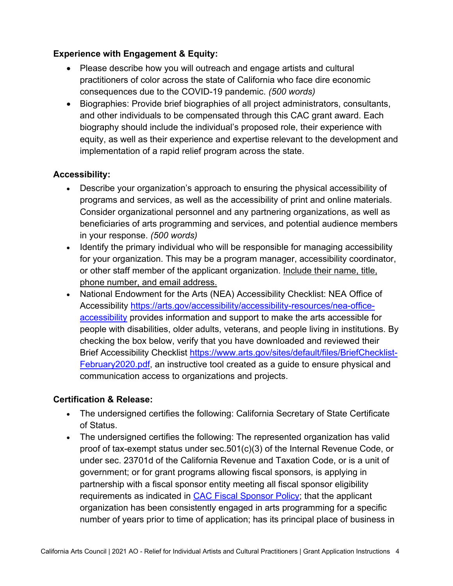## **Experience with Engagement & Equity:**

- Please describe how you will outreach and engage artists and cultural practitioners of color across the state of California who face dire economic consequences due to the COVID-19 pandemic. *(500 words)*
- Biographies: Provide brief biographies of all project administrators, consultants, and other individuals to be compensated through this CAC grant award. Each biography should include the individual's proposed role, their experience with equity, as well as their experience and expertise relevant to the development and implementation of a rapid relief program across the state.

## **Accessibility:**

- Describe your organization's approach to ensuring the physical accessibility of programs and services, as well as the accessibility of print and online materials. Consider organizational personnel and any partnering organizations, as well as beneficiaries of arts programming and services, and potential audience members in your response. *(500 words)*
- Identify the primary individual who will be responsible for managing accessibility for your organization. This may be a program manager, accessibility coordinator, or other staff member of the applicant organization. Include their name, title, phone number, and email address.
- National Endowment for the Arts (NEA) Accessibility Checklist: NEA Office of Accessibility [https://arts.gov/accessibility/accessibility-resources/nea-office](https://arts.gov/accessibility/accessibility-resources/nea-office-accessibility)[accessibility](https://arts.gov/accessibility/accessibility-resources/nea-office-accessibility) provides information and support to make the arts accessible for people with disabilities, older adults, veterans, and people living in institutions. By checking the box below, verify that you have downloaded and reviewed their Brief Accessibility Checklist [https://www.arts.gov/sites/default/files/BriefChecklist-](https://www.arts.gov/sites/default/files/BriefChecklist-February2020.pdf)[February2020.pdf,](https://www.arts.gov/sites/default/files/BriefChecklist-February2020.pdf) an instructive tool created as a guide to ensure physical and communication access to organizations and projects.

#### **Certification & Release:**

- The undersigned certifies the following: California Secretary of State Certificate of Status.
- The undersigned certifies the following: The represented organization has valid proof of tax-exempt status under sec.501(c)(3) of the Internal Revenue Code, or under sec. 23701d of the California Revenue and Taxation Code, or is a unit of government; or for grant programs allowing fiscal sponsors, is applying in partnership with a fiscal sponsor entity meeting all fiscal sponsor eligibility requirements as indicated in **CAC Fiscal Sponsor Policy**; that the applicant organization has been consistently engaged in arts programming for a specific number of years prior to time of application; has its principal place of business in